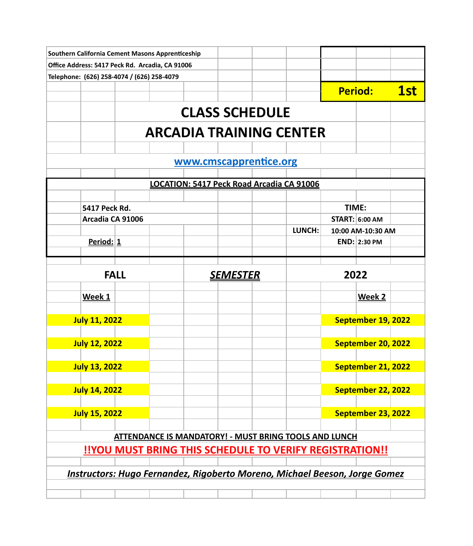| Southern California Cement Masons Apprenticeship |                      |  |  |  |                                           |                                                                                   |       |                       |            |  |
|--------------------------------------------------|----------------------|--|--|--|-------------------------------------------|-----------------------------------------------------------------------------------|-------|-----------------------|------------|--|
| Office Address: 5417 Peck Rd. Arcadia, CA 91006  |                      |  |  |  |                                           |                                                                                   |       |                       |            |  |
| Telephone: (626) 258-4074 / (626) 258-4079       |                      |  |  |  |                                           |                                                                                   |       |                       |            |  |
|                                                  |                      |  |  |  |                                           |                                                                                   |       | <b>Period:</b>        | <b>1st</b> |  |
|                                                  |                      |  |  |  |                                           |                                                                                   |       |                       |            |  |
|                                                  |                      |  |  |  | <b>CLASS SCHEDULE</b>                     |                                                                                   |       |                       |            |  |
|                                                  |                      |  |  |  |                                           | <b>ARCADIA TRAINING CENTER</b>                                                    |       |                       |            |  |
|                                                  |                      |  |  |  |                                           |                                                                                   |       |                       |            |  |
|                                                  |                      |  |  |  | www.cmscapprentice.org                    |                                                                                   |       |                       |            |  |
|                                                  |                      |  |  |  |                                           |                                                                                   |       |                       |            |  |
|                                                  |                      |  |  |  | LOCATION: 5417 Peck Road Arcadia CA 91006 |                                                                                   |       |                       |            |  |
|                                                  | 5417 Peck Rd.        |  |  |  |                                           |                                                                                   | TIME: |                       |            |  |
|                                                  | Arcadia CA 91006     |  |  |  |                                           |                                                                                   |       | <b>START: 6:00 AM</b> |            |  |
|                                                  |                      |  |  |  |                                           | LUNCH:                                                                            |       | 10:00 AM-10:30 AM     |            |  |
|                                                  | Period: 1            |  |  |  |                                           |                                                                                   |       | END: 2:30 PM          |            |  |
|                                                  |                      |  |  |  |                                           |                                                                                   |       |                       |            |  |
|                                                  |                      |  |  |  |                                           |                                                                                   |       |                       |            |  |
|                                                  | <b>FALL</b>          |  |  |  | <b>SEMESTER</b>                           |                                                                                   | 2022  |                       |            |  |
|                                                  | Week 1               |  |  |  |                                           |                                                                                   |       | Week 2                |            |  |
|                                                  |                      |  |  |  |                                           |                                                                                   |       |                       |            |  |
|                                                  | <b>July 11, 2022</b> |  |  |  |                                           |                                                                                   |       | September 19, 2022    |            |  |
|                                                  |                      |  |  |  |                                           |                                                                                   |       |                       |            |  |
|                                                  | <b>July 12, 2022</b> |  |  |  |                                           |                                                                                   |       | September 20, 2022    |            |  |
|                                                  |                      |  |  |  |                                           |                                                                                   |       |                       |            |  |
|                                                  | <b>July 13, 2022</b> |  |  |  |                                           |                                                                                   |       | September 21, 2022    |            |  |
|                                                  | <b>July 14, 2022</b> |  |  |  |                                           |                                                                                   |       | September 22, 2022    |            |  |
|                                                  |                      |  |  |  |                                           |                                                                                   |       |                       |            |  |
|                                                  | <b>July 15, 2022</b> |  |  |  |                                           |                                                                                   |       | September 23, 2022    |            |  |
|                                                  |                      |  |  |  |                                           |                                                                                   |       |                       |            |  |
|                                                  |                      |  |  |  |                                           | <b>ATTENDANCE IS MANDATORY! - MUST BRING TOOLS AND LUNCH</b>                      |       |                       |            |  |
|                                                  |                      |  |  |  |                                           | <b>!!YOU MUST BRING THIS SCHEDULE TO VERIFY REGISTRATION!!</b>                    |       |                       |            |  |
|                                                  |                      |  |  |  |                                           |                                                                                   |       |                       |            |  |
|                                                  |                      |  |  |  |                                           | <b>Instructors: Hugo Fernandez, Rigoberto Moreno, Michael Beeson, Jorge Gomez</b> |       |                       |            |  |
|                                                  |                      |  |  |  |                                           |                                                                                   |       |                       |            |  |
|                                                  |                      |  |  |  |                                           |                                                                                   |       |                       |            |  |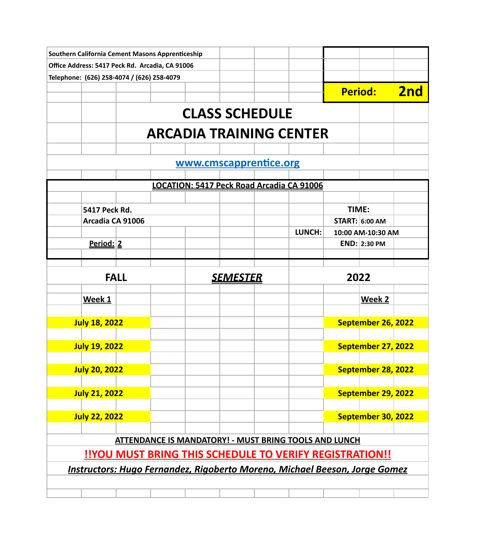| Southern California Cement Masons Apprenticeship                                  |                                                                |  |                 |                        |                                                              |                   |                       |     |
|-----------------------------------------------------------------------------------|----------------------------------------------------------------|--|-----------------|------------------------|--------------------------------------------------------------|-------------------|-----------------------|-----|
| Office Address: 5417 Peck Rd. Arcadia, CA 91006                                   |                                                                |  |                 |                        |                                                              |                   |                       |     |
| Telephone: (626) 258-4074 / (626) 258-4079                                        |                                                                |  |                 |                        |                                                              |                   |                       |     |
|                                                                                   |                                                                |  |                 |                        |                                                              |                   | <b>Period:</b>        | 2nd |
|                                                                                   |                                                                |  |                 | <b>CLASS SCHEDULE</b>  |                                                              |                   |                       |     |
|                                                                                   |                                                                |  |                 |                        | <b>ARCADIA TRAINING CENTER</b>                               |                   |                       |     |
|                                                                                   |                                                                |  |                 |                        |                                                              |                   |                       |     |
|                                                                                   |                                                                |  |                 | www.cmscapprentice.org |                                                              |                   |                       |     |
|                                                                                   |                                                                |  |                 |                        | LOCATION: 5417 Peck Road Arcadia CA 91006                    |                   |                       |     |
|                                                                                   |                                                                |  |                 |                        |                                                              |                   |                       |     |
| 5417 Peck Rd.                                                                     |                                                                |  |                 |                        |                                                              | TIME:             |                       |     |
|                                                                                   | Arcadia CA 91006                                               |  |                 |                        |                                                              |                   | <b>START: 6:00 AM</b> |     |
|                                                                                   |                                                                |  |                 |                        | LUNCH:                                                       | 10:00 AM-10:30 AM |                       |     |
| Period: 2                                                                         |                                                                |  |                 |                        |                                                              |                   | <b>END: 2:30 PM</b>   |     |
|                                                                                   | <b>FALL</b>                                                    |  | <u>SEMESTER</u> |                        |                                                              | 2022              |                       |     |
|                                                                                   |                                                                |  |                 |                        |                                                              |                   |                       |     |
| Week 1                                                                            |                                                                |  |                 |                        |                                                              |                   | Week 2                |     |
| <b>July 18, 2022</b>                                                              |                                                                |  |                 |                        |                                                              |                   | September 26, 2022    |     |
| <b>July 19, 2022</b>                                                              |                                                                |  |                 |                        |                                                              |                   | September 27, 2022    |     |
| <b>July 20, 2022</b>                                                              |                                                                |  |                 |                        |                                                              |                   | September 28, 2022    |     |
| <b>July 21, 2022</b>                                                              |                                                                |  |                 |                        |                                                              |                   | September 29, 2022    |     |
| <b>July 22, 2022</b>                                                              |                                                                |  |                 |                        |                                                              |                   | September 30, 2022    |     |
|                                                                                   |                                                                |  |                 |                        | <b>ATTENDANCE IS MANDATORY! - MUST BRING TOOLS AND LUNCH</b> |                   |                       |     |
|                                                                                   | <b>!!YOU MUST BRING THIS SCHEDULE TO VERIFY REGISTRATION!!</b> |  |                 |                        |                                                              |                   |                       |     |
| <b>Instructors: Hugo Fernandez, Rigoberto Moreno, Michael Beeson, Jorge Gomez</b> |                                                                |  |                 |                        |                                                              |                   |                       |     |
|                                                                                   |                                                                |  |                 |                        |                                                              |                   |                       |     |
|                                                                                   |                                                                |  |                 |                        |                                                              |                   |                       |     |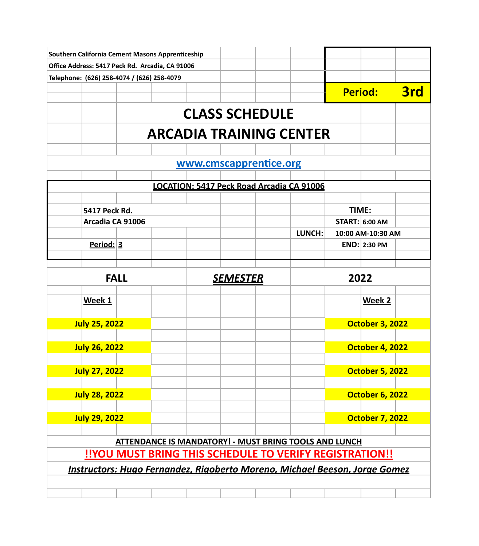| Southern California Cement Masons Apprenticeship                           |                                                         |  |                                                              |        |  |                                                                                                                                                                                                                                                  |     |  |  |  |
|----------------------------------------------------------------------------|---------------------------------------------------------|--|--------------------------------------------------------------|--------|--|--------------------------------------------------------------------------------------------------------------------------------------------------------------------------------------------------------------------------------------------------|-----|--|--|--|
| Office Address: 5417 Peck Rd. Arcadia, CA 91006                            |                                                         |  |                                                              |        |  |                                                                                                                                                                                                                                                  |     |  |  |  |
| Telephone: (626) 258-4074 / (626) 258-4079                                 |                                                         |  |                                                              |        |  |                                                                                                                                                                                                                                                  |     |  |  |  |
|                                                                            |                                                         |  |                                                              |        |  |                                                                                                                                                                                                                                                  | 3rd |  |  |  |
|                                                                            |                                                         |  | <b>CLASS SCHEDULE</b>                                        |        |  |                                                                                                                                                                                                                                                  |     |  |  |  |
|                                                                            |                                                         |  | <b>ARCADIA TRAINING CENTER</b>                               |        |  | <b>Period:</b><br>TIME:<br><b>START: 6:00 AM</b><br>10:00 AM-10:30 AM<br><b>END: 2:30 PM</b><br>2022<br>Week 2<br><b>October 3, 2022</b><br><b>October 4, 2022</b><br><b>October 5, 2022</b><br><b>October 6, 2022</b><br><b>October 7, 2022</b> |     |  |  |  |
|                                                                            |                                                         |  |                                                              |        |  |                                                                                                                                                                                                                                                  |     |  |  |  |
|                                                                            |                                                         |  | www.cmscapprentice.org                                       |        |  |                                                                                                                                                                                                                                                  |     |  |  |  |
|                                                                            |                                                         |  | LOCATION: 5417 Peck Road Arcadia CA 91006                    |        |  |                                                                                                                                                                                                                                                  |     |  |  |  |
|                                                                            |                                                         |  |                                                              |        |  |                                                                                                                                                                                                                                                  |     |  |  |  |
| 5417 Peck Rd.                                                              |                                                         |  |                                                              |        |  |                                                                                                                                                                                                                                                  |     |  |  |  |
|                                                                            | Arcadia CA 91006                                        |  |                                                              |        |  |                                                                                                                                                                                                                                                  |     |  |  |  |
|                                                                            |                                                         |  |                                                              | LUNCH: |  |                                                                                                                                                                                                                                                  |     |  |  |  |
| Period: 3                                                                  |                                                         |  |                                                              |        |  |                                                                                                                                                                                                                                                  |     |  |  |  |
|                                                                            | <b>FALL</b>                                             |  | <u>SEMESTER</u>                                              |        |  |                                                                                                                                                                                                                                                  |     |  |  |  |
|                                                                            |                                                         |  |                                                              |        |  |                                                                                                                                                                                                                                                  |     |  |  |  |
| Week 1                                                                     |                                                         |  |                                                              |        |  |                                                                                                                                                                                                                                                  |     |  |  |  |
| <b>July 25, 2022</b>                                                       |                                                         |  |                                                              |        |  |                                                                                                                                                                                                                                                  |     |  |  |  |
|                                                                            |                                                         |  |                                                              |        |  |                                                                                                                                                                                                                                                  |     |  |  |  |
| <b>July 26, 2022</b>                                                       |                                                         |  |                                                              |        |  |                                                                                                                                                                                                                                                  |     |  |  |  |
| <b>July 27, 2022</b>                                                       |                                                         |  |                                                              |        |  |                                                                                                                                                                                                                                                  |     |  |  |  |
| <b>July 28, 2022</b>                                                       |                                                         |  |                                                              |        |  |                                                                                                                                                                                                                                                  |     |  |  |  |
|                                                                            |                                                         |  |                                                              |        |  |                                                                                                                                                                                                                                                  |     |  |  |  |
| <b>July 29, 2022</b>                                                       |                                                         |  |                                                              |        |  |                                                                                                                                                                                                                                                  |     |  |  |  |
|                                                                            |                                                         |  |                                                              |        |  |                                                                                                                                                                                                                                                  |     |  |  |  |
|                                                                            |                                                         |  | <b>ATTENDANCE IS MANDATORY! - MUST BRING TOOLS AND LUNCH</b> |        |  |                                                                                                                                                                                                                                                  |     |  |  |  |
|                                                                            | !!YOU MUST BRING THIS SCHEDULE TO VERIFY REGISTRATION!! |  |                                                              |        |  |                                                                                                                                                                                                                                                  |     |  |  |  |
| Instructors: Hugo Fernandez, Rigoberto Moreno, Michael Beeson, Jorge Gomez |                                                         |  |                                                              |        |  |                                                                                                                                                                                                                                                  |     |  |  |  |
|                                                                            |                                                         |  |                                                              |        |  |                                                                                                                                                                                                                                                  |     |  |  |  |
|                                                                            |                                                         |  |                                                              |        |  |                                                                                                                                                                                                                                                  |     |  |  |  |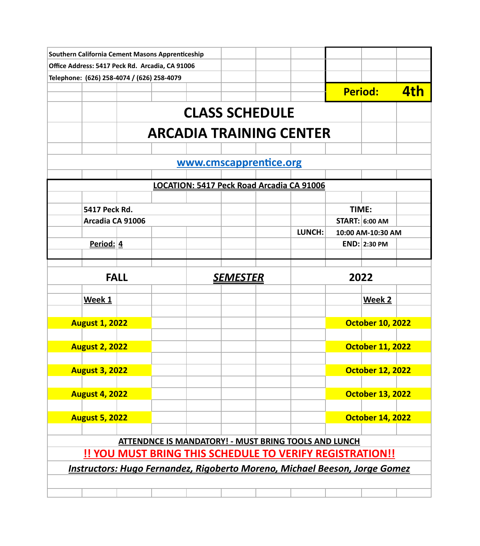| Southern California Cement Masons Apprenticeship |                       |  |                 |                                                                                   |        |       |                         |     |
|--------------------------------------------------|-----------------------|--|-----------------|-----------------------------------------------------------------------------------|--------|-------|-------------------------|-----|
| Office Address: 5417 Peck Rd. Arcadia, CA 91006  |                       |  |                 |                                                                                   |        |       |                         |     |
| Telephone: (626) 258-4074 / (626) 258-4079       |                       |  |                 |                                                                                   |        |       |                         |     |
|                                                  |                       |  |                 |                                                                                   |        |       | <b>Period:</b>          | 4th |
|                                                  |                       |  |                 | <b>CLASS SCHEDULE</b>                                                             |        |       |                         |     |
|                                                  |                       |  |                 | <b>ARCADIA TRAINING CENTER</b>                                                    |        |       |                         |     |
|                                                  |                       |  |                 |                                                                                   |        |       |                         |     |
|                                                  |                       |  |                 | www.cmscapprentice.org                                                            |        |       |                         |     |
|                                                  |                       |  |                 | LOCATION: 5417 Peck Road Arcadia CA 91006                                         |        |       |                         |     |
|                                                  |                       |  |                 |                                                                                   |        |       |                         |     |
|                                                  | 5417 Peck Rd.         |  |                 |                                                                                   |        | TIME: |                         |     |
|                                                  | Arcadia CA 91006      |  |                 |                                                                                   |        |       | <b>START: 6:00 AM</b>   |     |
|                                                  |                       |  |                 |                                                                                   | LUNCH: |       | 10:00 AM-10:30 AM       |     |
|                                                  | Period: $4$           |  |                 |                                                                                   |        |       | <b>END: 2:30 PM</b>     |     |
|                                                  | <b>FALL</b>           |  | <u>SEMESTER</u> |                                                                                   |        | 2022  |                         |     |
|                                                  |                       |  |                 |                                                                                   |        |       |                         |     |
|                                                  | Week 1                |  |                 |                                                                                   |        |       | Week 2                  |     |
|                                                  | <b>August 1, 2022</b> |  |                 |                                                                                   |        |       | <b>October 10, 2022</b> |     |
|                                                  |                       |  |                 |                                                                                   |        |       |                         |     |
|                                                  | <b>August 2, 2022</b> |  |                 |                                                                                   |        |       | <b>October 11, 2022</b> |     |
|                                                  | <b>August 3, 2022</b> |  |                 |                                                                                   |        |       | <b>October 12, 2022</b> |     |
|                                                  | <b>August 4, 2022</b> |  |                 |                                                                                   |        |       | <b>October 13, 2022</b> |     |
|                                                  |                       |  |                 |                                                                                   |        |       |                         |     |
|                                                  | <b>August 5, 2022</b> |  |                 |                                                                                   |        |       | <b>October 14, 2022</b> |     |
|                                                  |                       |  |                 | <b>ATTENDNCE IS MANDATORY! - MUST BRING TOOLS AND LUNCH</b>                       |        |       |                         |     |
|                                                  |                       |  |                 | <b>!! YOU MUST BRING THIS SCHEDULE TO VERIFY REGISTRATION!!</b>                   |        |       |                         |     |
|                                                  |                       |  |                 | <b>Instructors: Hugo Fernandez, Rigoberto Moreno, Michael Beeson, Jorge Gomez</b> |        |       |                         |     |
|                                                  |                       |  |                 |                                                                                   |        |       |                         |     |
|                                                  |                       |  |                 |                                                                                   |        |       |                         |     |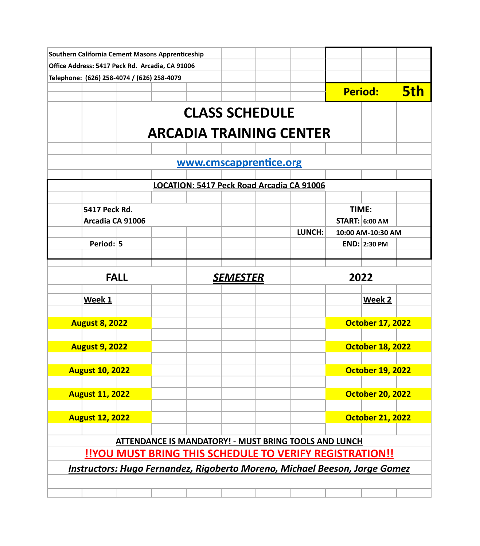| Southern California Cement Masons Apprenticeship                                  |  |                 |                        |                                                              |       |                         |            |
|-----------------------------------------------------------------------------------|--|-----------------|------------------------|--------------------------------------------------------------|-------|-------------------------|------------|
| Office Address: 5417 Peck Rd. Arcadia, CA 91006                                   |  |                 |                        |                                                              |       |                         |            |
| Telephone: (626) 258-4074 / (626) 258-4079                                        |  |                 |                        |                                                              |       |                         |            |
|                                                                                   |  |                 |                        |                                                              |       | <b>Period:</b>          | <b>5th</b> |
|                                                                                   |  |                 | <b>CLASS SCHEDULE</b>  |                                                              |       |                         |            |
|                                                                                   |  |                 |                        | <b>ARCADIA TRAINING CENTER</b>                               |       |                         |            |
|                                                                                   |  |                 |                        |                                                              |       |                         |            |
|                                                                                   |  |                 | www.cmscapprentice.org |                                                              |       |                         |            |
|                                                                                   |  |                 |                        | LOCATION: 5417 Peck Road Arcadia CA 91006                    |       |                         |            |
|                                                                                   |  |                 |                        |                                                              |       |                         |            |
| 5417 Peck Rd.                                                                     |  |                 |                        |                                                              | TIME: |                         |            |
| Arcadia CA 91006                                                                  |  |                 |                        |                                                              |       | <b>START: 6:00 AM</b>   |            |
|                                                                                   |  |                 |                        | LUNCH:                                                       |       | 10:00 AM-10:30 AM       |            |
| Period: 5                                                                         |  |                 |                        |                                                              |       | <b>END: 2:30 PM</b>     |            |
| <b>FALL</b>                                                                       |  | <u>SEMESTER</u> |                        |                                                              | 2022  |                         |            |
|                                                                                   |  |                 |                        |                                                              |       |                         |            |
| Week 1                                                                            |  |                 |                        |                                                              |       | Week 2                  |            |
| <b>August 8, 2022</b>                                                             |  |                 |                        |                                                              |       | <b>October 17, 2022</b> |            |
|                                                                                   |  |                 |                        |                                                              |       |                         |            |
| <b>August 9, 2022</b>                                                             |  |                 |                        |                                                              |       | <b>October 18, 2022</b> |            |
| <b>August 10, 2022</b>                                                            |  |                 |                        |                                                              |       | <b>October 19, 2022</b> |            |
| <b>August 11, 2022</b>                                                            |  |                 |                        |                                                              |       | <b>October 20, 2022</b> |            |
| <b>August 12, 2022</b>                                                            |  |                 |                        |                                                              |       | <b>October 21, 2022</b> |            |
|                                                                                   |  |                 |                        |                                                              |       |                         |            |
|                                                                                   |  |                 |                        | <b>ATTENDANCE IS MANDATORY! - MUST BRING TOOLS AND LUNCH</b> |       |                         |            |
| !!YOU MUST BRING THIS SCHEDULE TO VERIFY REGISTRATION!!                           |  |                 |                        |                                                              |       |                         |            |
|                                                                                   |  |                 |                        |                                                              |       |                         |            |
| <b>Instructors: Hugo Fernandez, Rigoberto Moreno, Michael Beeson, Jorge Gomez</b> |  |                 |                        |                                                              |       |                         |            |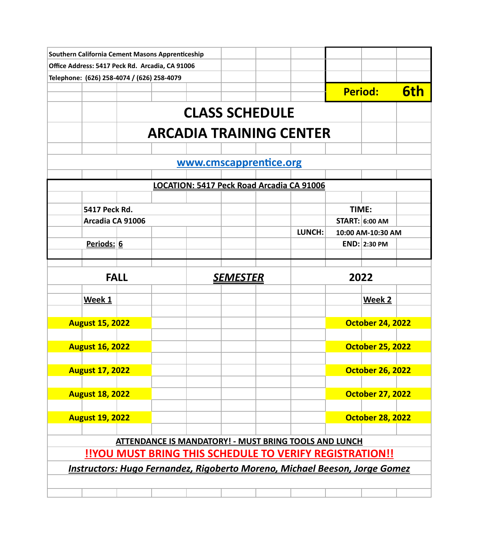| Southern California Cement Masons Apprenticeship |               |                  |  |                 |                                                                                   |        |       |                         |            |
|--------------------------------------------------|---------------|------------------|--|-----------------|-----------------------------------------------------------------------------------|--------|-------|-------------------------|------------|
| Office Address: 5417 Peck Rd. Arcadia, CA 91006  |               |                  |  |                 |                                                                                   |        |       |                         |            |
| Telephone: (626) 258-4074 / (626) 258-4079       |               |                  |  |                 |                                                                                   |        |       |                         |            |
|                                                  |               |                  |  |                 |                                                                                   |        |       | <b>Period:</b>          | <b>6th</b> |
|                                                  |               |                  |  |                 | <b>CLASS SCHEDULE</b>                                                             |        |       |                         |            |
|                                                  |               |                  |  |                 | <b>ARCADIA TRAINING CENTER</b>                                                    |        |       |                         |            |
|                                                  |               |                  |  |                 |                                                                                   |        |       |                         |            |
|                                                  |               |                  |  |                 | www.cmscapprentice.org                                                            |        |       |                         |            |
|                                                  |               |                  |  |                 | LOCATION: 5417 Peck Road Arcadia CA 91006                                         |        |       |                         |            |
|                                                  |               |                  |  |                 |                                                                                   |        |       |                         |            |
|                                                  | 5417 Peck Rd. |                  |  |                 |                                                                                   |        | TIME: |                         |            |
|                                                  |               | Arcadia CA 91006 |  |                 |                                                                                   |        |       | <b>START: 6:00 AM</b>   |            |
|                                                  |               |                  |  |                 |                                                                                   | LUNCH: |       | 10:00 AM-10:30 AM       |            |
|                                                  | Periods: 6    |                  |  |                 |                                                                                   |        |       | <b>END: 2:30 PM</b>     |            |
|                                                  |               | <b>FALL</b>      |  | <u>SEMESTER</u> |                                                                                   |        | 2022  |                         |            |
|                                                  |               |                  |  |                 |                                                                                   |        |       |                         |            |
|                                                  | Week 1        |                  |  |                 |                                                                                   |        |       | Week 2                  |            |
| <b>August 15, 2022</b>                           |               |                  |  |                 |                                                                                   |        |       | <b>October 24, 2022</b> |            |
|                                                  |               |                  |  |                 |                                                                                   |        |       |                         |            |
| <b>August 16, 2022</b>                           |               |                  |  |                 |                                                                                   |        |       | <b>October 25, 2022</b> |            |
| <b>August 17, 2022</b>                           |               |                  |  |                 |                                                                                   |        |       | <b>October 26, 2022</b> |            |
| <b>August 18, 2022</b>                           |               |                  |  |                 |                                                                                   |        |       | <b>October 27, 2022</b> |            |
|                                                  |               |                  |  |                 |                                                                                   |        |       |                         |            |
| <b>August 19, 2022</b>                           |               |                  |  |                 |                                                                                   |        |       | <b>October 28, 2022</b> |            |
|                                                  |               |                  |  |                 | <b>ATTENDANCE IS MANDATORY! - MUST BRING TOOLS AND LUNCH</b>                      |        |       |                         |            |
|                                                  |               |                  |  |                 | <b>!!YOU MUST BRING THIS SCHEDULE TO VERIFY REGISTRATION!!</b>                    |        |       |                         |            |
|                                                  |               |                  |  |                 | <b>Instructors: Hugo Fernandez, Rigoberto Moreno, Michael Beeson, Jorge Gomez</b> |        |       |                         |            |
|                                                  |               |                  |  |                 |                                                                                   |        |       |                         |            |
|                                                  |               |                  |  |                 |                                                                                   |        |       |                         |            |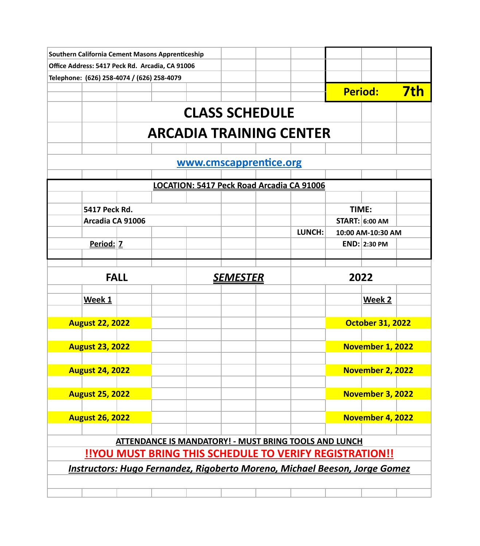| Southern California Cement Masons Apprenticeship                                  |                                                         |                                                              |  |                        |                                           |      |                                            |            |  |
|-----------------------------------------------------------------------------------|---------------------------------------------------------|--------------------------------------------------------------|--|------------------------|-------------------------------------------|------|--------------------------------------------|------------|--|
| Office Address: 5417 Peck Rd. Arcadia, CA 91006                                   |                                                         |                                                              |  |                        |                                           |      |                                            |            |  |
| Telephone: (626) 258-4074 / (626) 258-4079                                        |                                                         |                                                              |  |                        |                                           |      |                                            |            |  |
|                                                                                   |                                                         |                                                              |  |                        |                                           |      | Period:                                    | <b>7th</b> |  |
|                                                                                   |                                                         |                                                              |  | <b>CLASS SCHEDULE</b>  |                                           |      |                                            |            |  |
|                                                                                   |                                                         | <b>ARCADIA TRAINING CENTER</b>                               |  |                        |                                           |      |                                            |            |  |
|                                                                                   |                                                         |                                                              |  |                        |                                           |      |                                            |            |  |
|                                                                                   |                                                         |                                                              |  | www.cmscapprentice.org |                                           |      |                                            |            |  |
|                                                                                   |                                                         |                                                              |  |                        |                                           |      |                                            |            |  |
|                                                                                   |                                                         |                                                              |  |                        | LOCATION: 5417 Peck Road Arcadia CA 91006 |      |                                            |            |  |
|                                                                                   |                                                         |                                                              |  |                        |                                           |      |                                            |            |  |
| 5417 Peck Rd.                                                                     |                                                         |                                                              |  |                        |                                           |      | TIME:                                      |            |  |
|                                                                                   | Arcadia CA 91006                                        |                                                              |  |                        | LUNCH:                                    |      | <b>START: 6:00 AM</b><br>10:00 AM-10:30 AM |            |  |
| Period: Z                                                                         |                                                         |                                                              |  |                        |                                           |      | <b>END: 2:30 PM</b>                        |            |  |
|                                                                                   |                                                         |                                                              |  |                        |                                           |      |                                            |            |  |
|                                                                                   |                                                         |                                                              |  |                        |                                           |      |                                            |            |  |
|                                                                                   | <b>FALL</b><br><u>SEMESTER</u>                          |                                                              |  |                        |                                           | 2022 |                                            |            |  |
| Week 1                                                                            |                                                         |                                                              |  |                        |                                           |      | Week 2                                     |            |  |
|                                                                                   |                                                         |                                                              |  |                        |                                           |      |                                            |            |  |
| <b>August 22, 2022</b>                                                            |                                                         |                                                              |  |                        |                                           |      | <b>October 31, 2022</b>                    |            |  |
|                                                                                   |                                                         |                                                              |  |                        |                                           |      |                                            |            |  |
| <b>August 23, 2022</b>                                                            |                                                         |                                                              |  |                        |                                           |      | November 1, 2022                           |            |  |
| <b>August 24, 2022</b>                                                            |                                                         |                                                              |  |                        |                                           |      | November 2, 2022                           |            |  |
|                                                                                   |                                                         |                                                              |  |                        |                                           |      |                                            |            |  |
| <b>August 25, 2022</b>                                                            |                                                         |                                                              |  |                        |                                           |      | November 3, 2022                           |            |  |
|                                                                                   |                                                         |                                                              |  |                        |                                           |      |                                            |            |  |
| <b>August 26, 2022</b>                                                            |                                                         |                                                              |  |                        |                                           |      | November 4, 2022                           |            |  |
|                                                                                   |                                                         |                                                              |  |                        |                                           |      |                                            |            |  |
|                                                                                   |                                                         | <b>ATTENDANCE IS MANDATORY! - MUST BRING TOOLS AND LUNCH</b> |  |                        |                                           |      |                                            |            |  |
|                                                                                   | !!YOU MUST BRING THIS SCHEDULE TO VERIFY REGISTRATION!! |                                                              |  |                        |                                           |      |                                            |            |  |
| <b>Instructors: Hugo Fernandez, Rigoberto Moreno, Michael Beeson, Jorge Gomez</b> |                                                         |                                                              |  |                        |                                           |      |                                            |            |  |
|                                                                                   |                                                         |                                                              |  |                        |                                           |      |                                            |            |  |
|                                                                                   |                                                         |                                                              |  |                        |                                           |      |                                            |            |  |